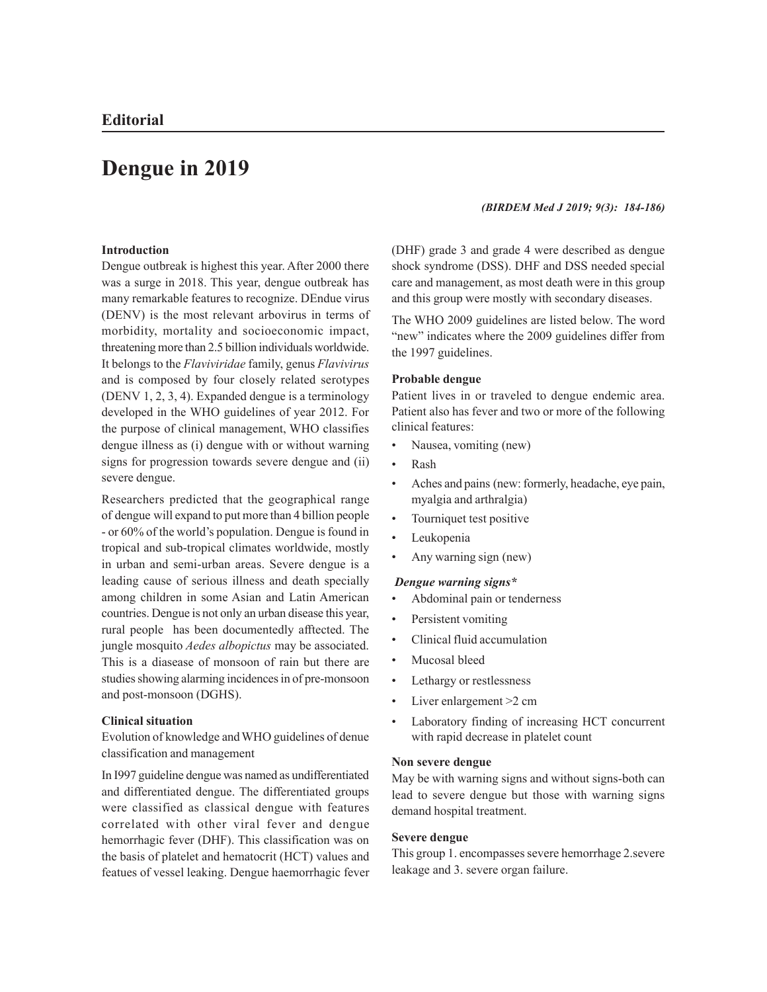# **Dengue in 2019**

# **Introduction**

Dengue outbreak is highest this year. After 2000 there was a surge in 2018. This year, dengue outbreak has many remarkable features to recognize. DEndue virus (DENV) is the most relevant arbovirus in terms of morbidity, mortality and socioeconomic impact, threatening more than 2.5 billion individuals worldwide. It belongs to the *Flaviviridae* family, genus *Flavivirus* and is composed by four closely related serotypes (DENV 1, 2, 3, 4). Expanded dengue is a terminology developed in the WHO guidelines of year 2012. For the purpose of clinical management, WHO classifies dengue illness as (i) dengue with or without warning signs for progression towards severe dengue and (ii) severe dengue.

Researchers predicted that the geographical range of dengue will expand to put more than 4 billion people - or 60% of the world's population. Dengue is found in tropical and sub-tropical climates worldwide, mostly in urban and semi-urban areas. Severe dengue is a leading cause of serious illness and death specially among children in some Asian and Latin American countries. Dengue is not only an urban disease this year, rural people has been documentedly afftected. The jungle mosquito *Aedes albopictus* may be associated. This is a diasease of monsoon of rain but there are studies showing alarming incidences in of pre-monsoon and post-monsoon (DGHS).

#### **Clinical situation**

Evolution of knowledge and WHO guidelines of denue classification and management

In I997 guideline dengue was named as undifferentiated and differentiated dengue. The differentiated groups were classified as classical dengue with features correlated with other viral fever and dengue hemorrhagic fever (DHF). This classification was on the basis of platelet and hematocrit (HCT) values and featues of vessel leaking. Dengue haemorrhagic fever

#### *(BIRDEM Med J 2019; 9(3): 184-186)*

(DHF) grade 3 and grade 4 were described as dengue shock syndrome (DSS). DHF and DSS needed special care and management, as most death were in this group and this group were mostly with secondary diseases.

The WHO 2009 guidelines are listed below. The word "new" indicates where the 2009 guidelines differ from the 1997 guidelines.

## **Probable dengue**

Patient lives in or traveled to dengue endemic area. Patient also has fever and two or more of the following clinical features:

- Nausea, vomiting (new)
- Rash
- Aches and pains (new: formerly, headache, eye pain, myalgia and arthralgia)
- Tourniquet test positive
- Leukopenia
- Any warning sign (new)

#### *Dengue warning signs\**

- Abdominal pain or tenderness
- Persistent vomiting
- Clinical fluid accumulation
- Mucosal bleed
- Lethargy or restlessness
- Liver enlargement > 2 cm
- Laboratory finding of increasing HCT concurrent with rapid decrease in platelet count

## **Non severe dengue**

May be with warning signs and without signs-both can lead to severe dengue but those with warning signs demand hospital treatment.

## **Severe dengue**

This group 1. encompasses severe hemorrhage 2.severe leakage and 3. severe organ failure.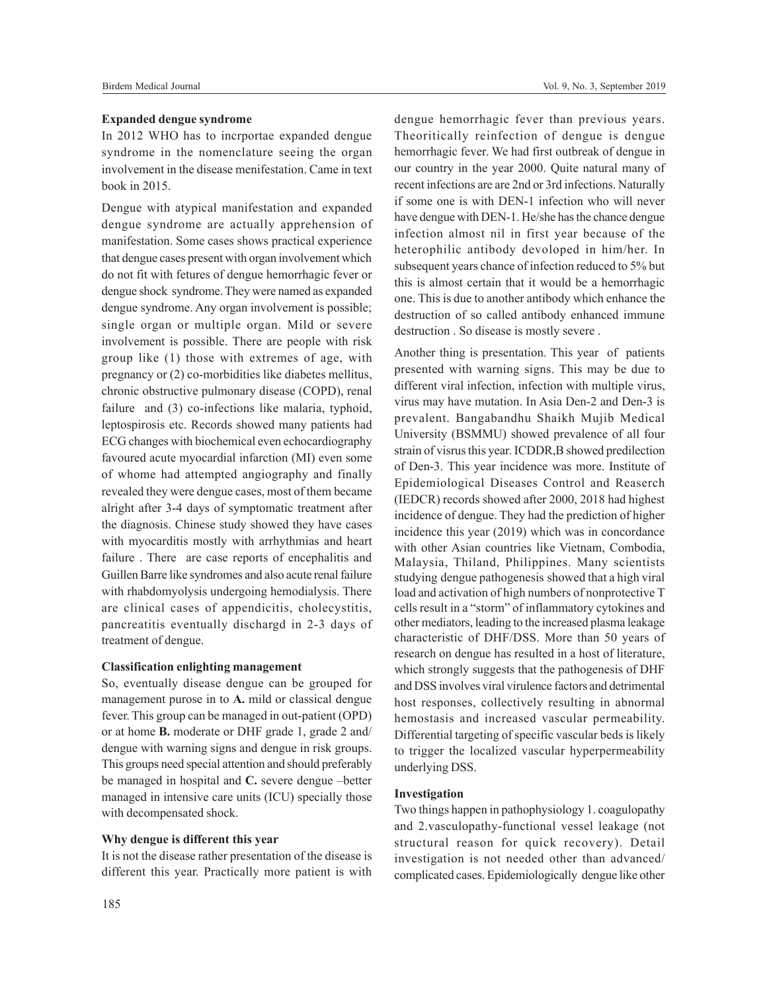# **Expanded dengue syndrome**

In 2012 WHO has to incrportae expanded dengue syndrome in the nomenclature seeing the organ involvement in the disease menifestation. Came in text book in 2015.

Dengue with atypical manifestation and expanded dengue syndrome are actually apprehension of manifestation. Some cases shows practical experience that dengue cases present with organ involvement which do not fit with fetures of dengue hemorrhagic fever or dengue shock syndrome. They were named as expanded dengue syndrome. Any organ involvement is possible; single organ or multiple organ. Mild or severe involvement is possible. There are people with risk group like (1) those with extremes of age, with pregnancy or (2) co-morbidities like diabetes mellitus, chronic obstructive pulmonary disease (COPD), renal failure and (3) co-infections like malaria, typhoid, leptospirosis etc. Records showed many patients had ECG changes with biochemical even echocardiography favoured acute myocardial infarction (MI) even some of whome had attempted angiography and finally revealed they were dengue cases, most of them became alright after 3-4 days of symptomatic treatment after the diagnosis. Chinese study showed they have cases with myocarditis mostly with arrhythmias and heart failure . There are case reports of encephalitis and Guillen Barre like syndromes and also acute renal failure with rhabdomyolysis undergoing hemodialysis. There are clinical cases of appendicitis, cholecystitis, pancreatitis eventually dischargd in 2-3 days of treatment of dengue.

## **Classification enlighting management**

So, eventually disease dengue can be grouped for management purose in to **A.** mild or classical dengue fever. This group can be managed in out-patient (OPD) or at home **B.** moderate or DHF grade 1, grade 2 and/ dengue with warning signs and dengue in risk groups. This groups need special attention and should preferably be managed in hospital and **C.** severe dengue –better managed in intensive care units (ICU) specially those with decompensated shock.

## **Why dengue is different this year**

It is not the disease rather presentation of the disease is different this year. Practically more patient is with

dengue hemorrhagic fever than previous years. Theoritically reinfection of dengue is dengue hemorrhagic fever. We had first outbreak of dengue in our country in the year 2000. Quite natural many of recent infections are are 2nd or 3rd infections. Naturally if some one is with DEN-1 infection who will never have dengue with DEN-1. He/she has the chance dengue infection almost nil in first year because of the heterophilic antibody devoloped in him/her. In subsequent years chance of infection reduced to 5% but this is almost certain that it would be a hemorrhagic one. This is due to another antibody which enhance the destruction of so called antibody enhanced immune destruction . So disease is mostly severe .

Another thing is presentation. This year of patients presented with warning signs. This may be due to different viral infection, infection with multiple virus, virus may have mutation. In Asia Den-2 and Den-3 is prevalent. Bangabandhu Shaikh Mujib Medical University (BSMMU) showed prevalence of all four strain of visrus this year. ICDDR,B showed predilection of Den-3. This year incidence was more. Institute of Epidemiological Diseases Control and Reaserch (IEDCR) records showed after 2000, 2018 had highest incidence of dengue. They had the prediction of higher incidence this year (2019) which was in concordance with other Asian countries like Vietnam, Combodia, Malaysia, Thiland, Philippines. Many scientists studying dengue pathogenesis showed that a high viral load and activation of high numbers of nonprotective T cells result in a "storm" of inflammatory cytokines and other mediators, leading to the increased plasma leakage characteristic of DHF/DSS. More than 50 years of research on dengue has resulted in a host of literature, which strongly suggests that the pathogenesis of DHF and DSS involves viral virulence factors and detrimental host responses, collectively resulting in abnormal hemostasis and increased vascular permeability. Differential targeting of specific vascular beds is likely to trigger the localized vascular hyperpermeability underlying DSS.

## **Investigation**

Two things happen in pathophysiology 1. coagulopathy and 2.vasculopathy-functional vessel leakage (not structural reason for quick recovery). Detail investigation is not needed other than advanced/ complicated cases. Epidemiologically dengue like other